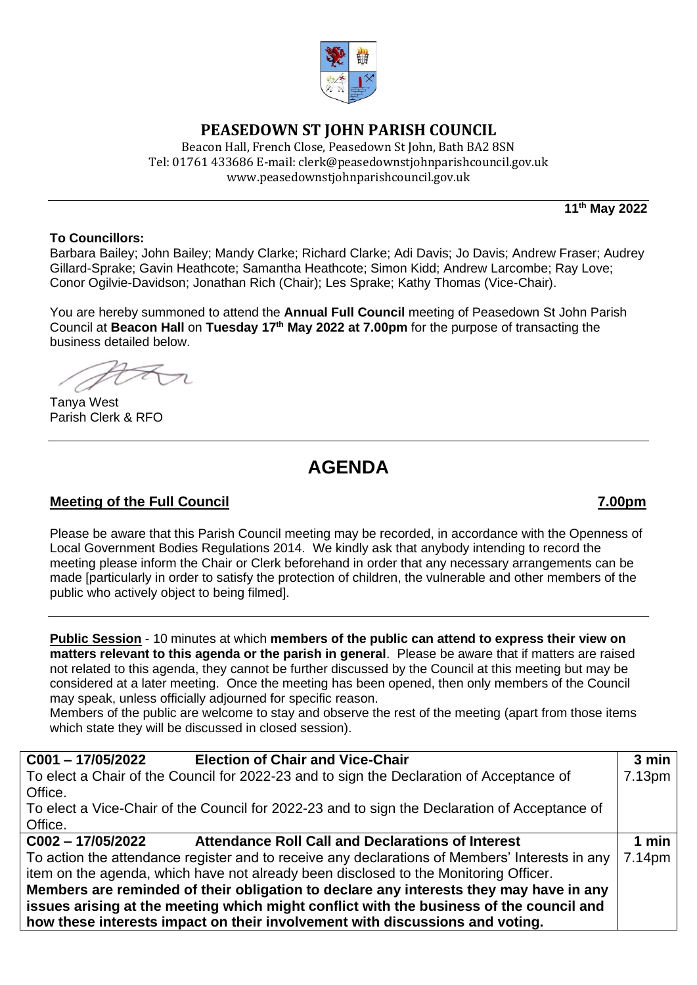

## **PEASEDOWN ST JOHN PARISH COUNCIL**

Beacon Hall, French Close, Peasedown St John, Bath BA2 8SN Tel: 01761 433686 E-mail: clerk@peasedownstjohnparishcouncil.gov.uk [www.peasedownstjohnparishcouncil.gov.uk](http://www.peasedownstjohnparishcouncil.gov.uk/)

**11th May 2022**

### **To Councillors:**

Barbara Bailey; John Bailey; Mandy Clarke; Richard Clarke; Adi Davis; Jo Davis; Andrew Fraser; Audrey Gillard-Sprake; Gavin Heathcote; Samantha Heathcote; Simon Kidd; Andrew Larcombe; Ray Love; Conor Ogilvie-Davidson; Jonathan Rich (Chair); Les Sprake; Kathy Thomas (Vice-Chair).

You are hereby summoned to attend the **Annual Full Council** meeting of Peasedown St John Parish Council at **Beacon Hall** on **Tuesday 17 th May 2022 at 7.00pm** for the purpose of transacting the business detailed below.

Tanya West Parish Clerk & RFO

# **AGENDA**

## **Meeting of the Full Council 7.00pm**

Please be aware that this Parish Council meeting may be recorded, in accordance with the Openness of Local Government Bodies Regulations 2014. We kindly ask that anybody intending to record the meeting please inform the Chair or Clerk beforehand in order that any necessary arrangements can be made [particularly in order to satisfy the protection of children, the vulnerable and other members of the public who actively object to being filmed].

**Public Session** - 10 minutes at which **members of the public can attend to express their view on matters relevant to this agenda or the parish in general**. Please be aware that if matters are raised not related to this agenda, they cannot be further discussed by the Council at this meeting but may be considered at a later meeting. Once the meeting has been opened, then only members of the Council may speak, unless officially adjourned for specific reason.

Members of the public are welcome to stay and observe the rest of the meeting (apart from those items which state they will be discussed in closed session).

| <b>Election of Chair and Vice-Chair</b><br>$C001 - 17/05/2022$                                 | $3$ min            |  |
|------------------------------------------------------------------------------------------------|--------------------|--|
| To elect a Chair of the Council for 2022-23 and to sign the Declaration of Acceptance of       | 7.13 <sub>pm</sub> |  |
| Office.                                                                                        |                    |  |
| To elect a Vice-Chair of the Council for 2022-23 and to sign the Declaration of Acceptance of  |                    |  |
| Office.                                                                                        |                    |  |
| <b>Attendance Roll Call and Declarations of Interest</b><br>$C002 - 17/05/2022$                | 1 min              |  |
| To action the attendance register and to receive any declarations of Members' Interests in any | 7.14pm             |  |
| item on the agenda, which have not already been disclosed to the Monitoring Officer.           |                    |  |
| Members are reminded of their obligation to declare any interests they may have in any         |                    |  |
| issues arising at the meeting which might conflict with the business of the council and        |                    |  |
| how these interests impact on their involvement with discussions and voting.                   |                    |  |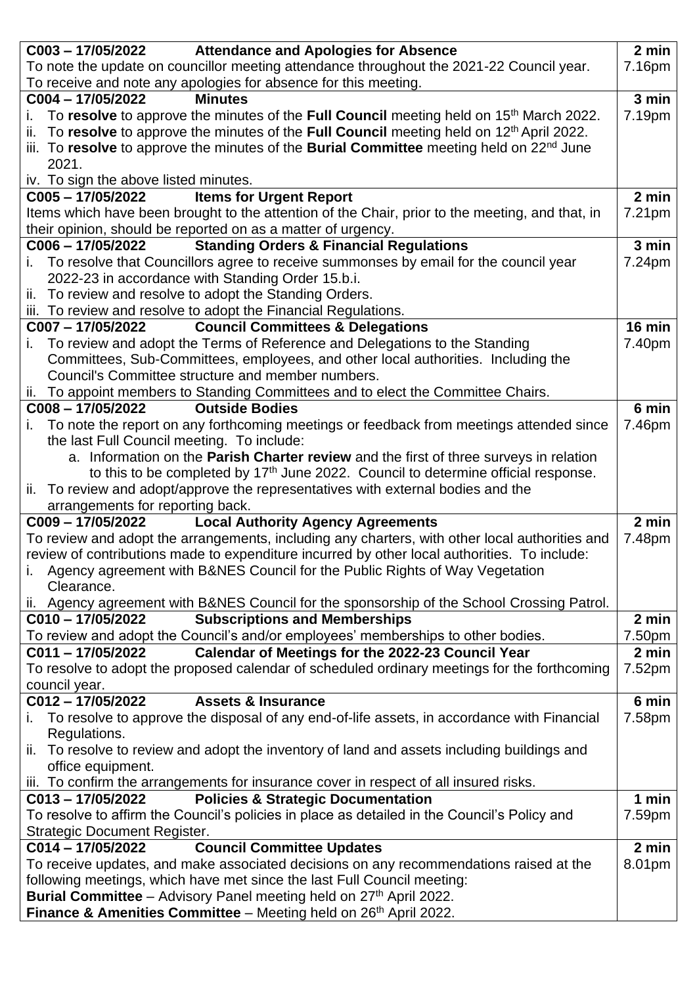|                                                                                                                                                                   | C003 - 17/05/2022 Attendance and Apologies for Absence                                               | 2 min  |
|-------------------------------------------------------------------------------------------------------------------------------------------------------------------|------------------------------------------------------------------------------------------------------|--------|
|                                                                                                                                                                   | To note the update on councillor meeting attendance throughout the 2021-22 Council year.             | 7.16pm |
|                                                                                                                                                                   | To receive and note any apologies for absence for this meeting.                                      |        |
| C004-17/05/2022                                                                                                                                                   | <b>Minutes</b>                                                                                       | 3 min  |
| i.                                                                                                                                                                | To resolve to approve the minutes of the Full Council meeting held on 15 <sup>th</sup> March 2022.   | 7.19pm |
|                                                                                                                                                                   | ii. To resolve to approve the minutes of the Full Council meeting held on $12th$ April 2022.         |        |
|                                                                                                                                                                   | iii. To resolve to approve the minutes of the Burial Committee meeting held on 22 <sup>nd</sup> June |        |
| 2021.                                                                                                                                                             |                                                                                                      |        |
| iv. To sign the above listed minutes.                                                                                                                             |                                                                                                      |        |
| $C005 - 17/05/2022$                                                                                                                                               | <b>Items for Urgent Report</b>                                                                       | 2 min  |
|                                                                                                                                                                   | Items which have been brought to the attention of the Chair, prior to the meeting, and that, in      | 7.21pm |
|                                                                                                                                                                   | their opinion, should be reported on as a matter of urgency.                                         |        |
| $C006 - 17/05/2022$                                                                                                                                               | <b>Standing Orders &amp; Financial Regulations</b>                                                   | 3 min  |
|                                                                                                                                                                   | i. To resolve that Councillors agree to receive summonses by email for the council year              | 7.24pm |
|                                                                                                                                                                   | 2022-23 in accordance with Standing Order 15.b.i.                                                    |        |
|                                                                                                                                                                   | ii. To review and resolve to adopt the Standing Orders.                                              |        |
|                                                                                                                                                                   | iii. To review and resolve to adopt the Financial Regulations.                                       |        |
| C007-17/05/2022                                                                                                                                                   | <b>Council Committees &amp; Delegations</b>                                                          | 16 min |
|                                                                                                                                                                   | To review and adopt the Terms of Reference and Delegations to the Standing                           | 7.40pm |
|                                                                                                                                                                   | Committees, Sub-Committees, employees, and other local authorities. Including the                    |        |
|                                                                                                                                                                   | Council's Committee structure and member numbers.                                                    |        |
|                                                                                                                                                                   | ii. To appoint members to Standing Committees and to elect the Committee Chairs.                     |        |
| C008-17/05/2022                                                                                                                                                   | <b>Outside Bodies</b>                                                                                | 6 min  |
| i.                                                                                                                                                                | To note the report on any forthcoming meetings or feedback from meetings attended since              | 7.46pm |
| the last Full Council meeting. To include:                                                                                                                        |                                                                                                      |        |
|                                                                                                                                                                   | a. Information on the <b>Parish Charter review</b> and the first of three surveys in relation        |        |
|                                                                                                                                                                   | to this to be completed by 17 <sup>th</sup> June 2022. Council to determine official response.       |        |
|                                                                                                                                                                   | ii. To review and adopt/approve the representatives with external bodies and the                     |        |
| arrangements for reporting back.                                                                                                                                  |                                                                                                      |        |
| C009-17/05/2022                                                                                                                                                   | <b>Local Authority Agency Agreements</b>                                                             | 2 min  |
|                                                                                                                                                                   | To review and adopt the arrangements, including any charters, with other local authorities and       | 7.48pm |
|                                                                                                                                                                   | review of contributions made to expenditure incurred by other local authorities. To include:         |        |
|                                                                                                                                                                   | i. Agency agreement with B&NES Council for the Public Rights of Way Vegetation                       |        |
| Clearance.                                                                                                                                                        |                                                                                                      |        |
|                                                                                                                                                                   | ii. Agency agreement with B&NES Council for the sponsorship of the School Crossing Patrol.           |        |
| C010-17/05/2022                                                                                                                                                   | <b>Subscriptions and Memberships</b>                                                                 | 2 min  |
|                                                                                                                                                                   | To review and adopt the Council's and/or employees' memberships to other bodies.                     | 7.50pm |
| C011-17/05/2022                                                                                                                                                   | Calendar of Meetings for the 2022-23 Council Year                                                    | 2 min  |
| council year.                                                                                                                                                     | To resolve to adopt the proposed calendar of scheduled ordinary meetings for the forthcoming         | 7.52pm |
| C012-17/05/2022                                                                                                                                                   | <b>Assets &amp; Insurance</b>                                                                        | 6 min  |
|                                                                                                                                                                   | i. To resolve to approve the disposal of any end-of-life assets, in accordance with Financial        | 7.58pm |
| Regulations.                                                                                                                                                      |                                                                                                      |        |
|                                                                                                                                                                   | ii. To resolve to review and adopt the inventory of land and assets including buildings and          |        |
| office equipment.                                                                                                                                                 |                                                                                                      |        |
|                                                                                                                                                                   | iii. To confirm the arrangements for insurance cover in respect of all insured risks.                |        |
| $C013 - 17/05/2022$                                                                                                                                               | <b>Policies &amp; Strategic Documentation</b>                                                        | 1 min  |
|                                                                                                                                                                   | To resolve to affirm the Council's policies in place as detailed in the Council's Policy and         | 7.59pm |
| <b>Strategic Document Register.</b>                                                                                                                               |                                                                                                      |        |
| C014-17/05/2022                                                                                                                                                   | <b>Council Committee Updates</b>                                                                     | 2 min  |
|                                                                                                                                                                   |                                                                                                      | 8.01pm |
| To receive updates, and make associated decisions on any recommendations raised at the<br>following meetings, which have met since the last Full Council meeting: |                                                                                                      |        |
|                                                                                                                                                                   | Burial Committee – Advisory Panel meeting held on 27 <sup>th</sup> April 2022.                       |        |
|                                                                                                                                                                   | <b>Finance &amp; Amenities Committee</b> – Meeting held on 26 <sup>th</sup> April 2022.              |        |
|                                                                                                                                                                   |                                                                                                      |        |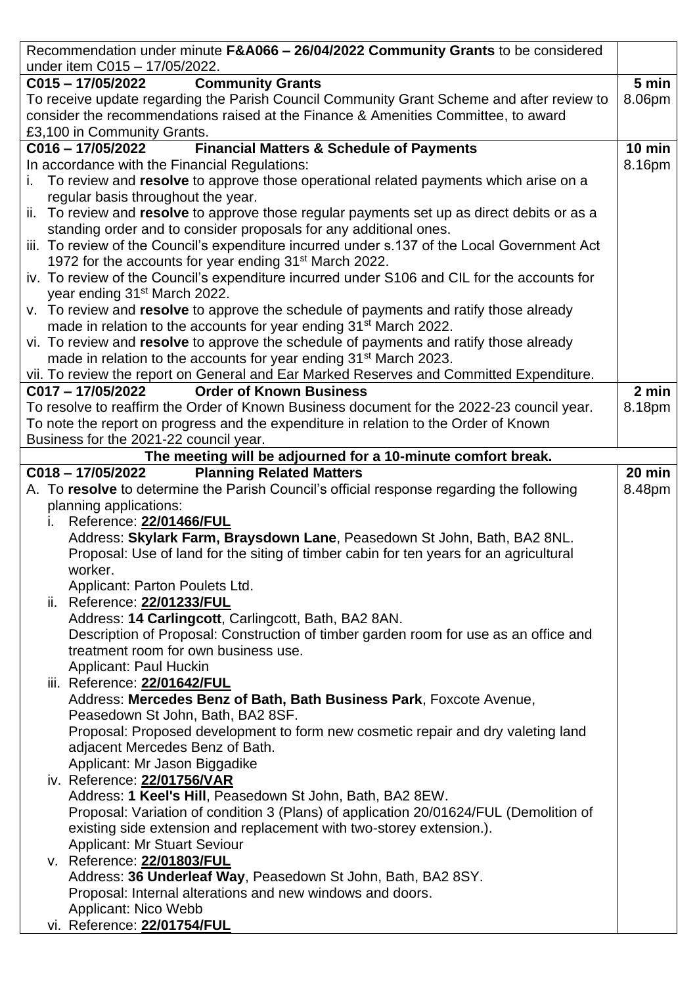| Recommendation under minute F&A066 - 26/04/2022 Community Grants to be considered                                              |          |
|--------------------------------------------------------------------------------------------------------------------------------|----------|
| under item C015 - 17/05/2022.                                                                                                  |          |
| <b>Community Grants</b><br>$C015 - 17/05/2022$                                                                                 | 5 min    |
| To receive update regarding the Parish Council Community Grant Scheme and after review to                                      | 8.06pm   |
| consider the recommendations raised at the Finance & Amenities Committee, to award                                             |          |
| £3,100 in Community Grants.                                                                                                    |          |
| <b>Financial Matters &amp; Schedule of Payments</b><br>$C016 - 17/05/2022$                                                     | $10$ min |
| In accordance with the Financial Regulations:                                                                                  | 8.16pm   |
| i. To review and resolve to approve those operational related payments which arise on a<br>regular basis throughout the year.  |          |
| ii. To review and resolve to approve those regular payments set up as direct debits or as a                                    |          |
| standing order and to consider proposals for any additional ones.                                                              |          |
| iii. To review of the Council's expenditure incurred under s.137 of the Local Government Act                                   |          |
| 1972 for the accounts for year ending 31 <sup>st</sup> March 2022.                                                             |          |
| iv. To review of the Council's expenditure incurred under S106 and CIL for the accounts for                                    |          |
| year ending 31 <sup>st</sup> March 2022.                                                                                       |          |
| v. To review and resolve to approve the schedule of payments and ratify those already                                          |          |
| made in relation to the accounts for year ending 31 <sup>st</sup> March 2022.                                                  |          |
| vi. To review and resolve to approve the schedule of payments and ratify those already                                         |          |
| made in relation to the accounts for year ending 31 <sup>st</sup> March 2023.                                                  |          |
| vii. To review the report on General and Ear Marked Reserves and Committed Expenditure.                                        |          |
| C017-17/05/2022<br><b>Order of Known Business</b>                                                                              | 2 min    |
| To resolve to reaffirm the Order of Known Business document for the 2022-23 council year.                                      | 8.18pm   |
| To note the report on progress and the expenditure in relation to the Order of Known<br>Business for the 2021-22 council year. |          |
| The meeting will be adjourned for a 10-minute comfort break.                                                                   |          |
| <b>Planning Related Matters</b><br>$C018 - 17/05/2022$                                                                         | 20 min   |
| A. To resolve to determine the Parish Council's official response regarding the following                                      | 8.48pm   |
| planning applications:                                                                                                         |          |
| Reference: 22/01466/FUL<br>İ.                                                                                                  |          |
| Address: Skylark Farm, Braysdown Lane, Peasedown St John, Bath, BA2 8NL.                                                       |          |
| Proposal: Use of land for the siting of timber cabin for ten years for an agricultural                                         |          |
| worker.                                                                                                                        |          |
| Applicant: Parton Poulets Ltd.                                                                                                 |          |
| ii. Reference: 22/01233/FUL                                                                                                    |          |
| Address: 14 Carlingcott, Carlingcott, Bath, BA2 8AN.                                                                           |          |
| Description of Proposal: Construction of timber garden room for use as an office and                                           |          |
| treatment room for own business use.                                                                                           |          |
| Applicant: Paul Huckin                                                                                                         |          |
| iii. Reference: 22/01642/FUL                                                                                                   |          |
| Address: Mercedes Benz of Bath, Bath Business Park, Foxcote Avenue,                                                            |          |
| Peasedown St John, Bath, BA2 8SF.                                                                                              |          |
| Proposal: Proposed development to form new cosmetic repair and dry valeting land                                               |          |
| adjacent Mercedes Benz of Bath.                                                                                                |          |
| Applicant: Mr Jason Biggadike                                                                                                  |          |
| iv. Reference: 22/01756/VAR<br>Address: 1 Keel's Hill, Peasedown St John, Bath, BA2 8EW.                                       |          |
| Proposal: Variation of condition 3 (Plans) of application 20/01624/FUL (Demolition of                                          |          |
| existing side extension and replacement with two-storey extension.).                                                           |          |
| <b>Applicant: Mr Stuart Seviour</b>                                                                                            |          |
| v. Reference: 22/01803/FUL                                                                                                     |          |
| Address: 36 Underleaf Way, Peasedown St John, Bath, BA2 8SY.                                                                   |          |
| Proposal: Internal alterations and new windows and doors.                                                                      |          |
| Applicant: Nico Webb                                                                                                           |          |
| vi. Reference: 22/01754/FUL                                                                                                    |          |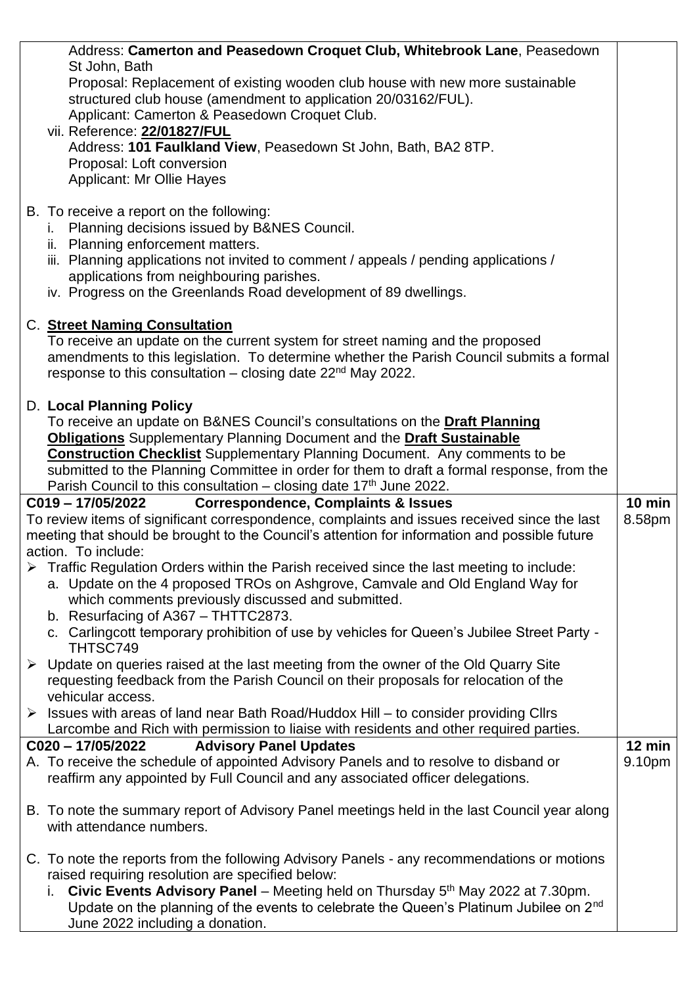| Address: Camerton and Peasedown Croquet Club, Whitebrook Lane, Peasedown                                                                                                                        |                            |
|-------------------------------------------------------------------------------------------------------------------------------------------------------------------------------------------------|----------------------------|
| St John, Bath                                                                                                                                                                                   |                            |
| Proposal: Replacement of existing wooden club house with new more sustainable<br>structured club house (amendment to application 20/03162/FUL).                                                 |                            |
| Applicant: Camerton & Peasedown Croquet Club.                                                                                                                                                   |                            |
| vii. Reference: 22/01827/FUL                                                                                                                                                                    |                            |
| Address: 101 Faulkland View, Peasedown St John, Bath, BA2 8TP.                                                                                                                                  |                            |
| Proposal: Loft conversion                                                                                                                                                                       |                            |
| <b>Applicant: Mr Ollie Hayes</b>                                                                                                                                                                |                            |
|                                                                                                                                                                                                 |                            |
| B. To receive a report on the following:                                                                                                                                                        |                            |
| i. Planning decisions issued by B&NES Council.                                                                                                                                                  |                            |
| ii. Planning enforcement matters.<br>iii. Planning applications not invited to comment / appeals / pending applications /                                                                       |                            |
| applications from neighbouring parishes.                                                                                                                                                        |                            |
| iv. Progress on the Greenlands Road development of 89 dwellings.                                                                                                                                |                            |
|                                                                                                                                                                                                 |                            |
| C. Street Naming Consultation                                                                                                                                                                   |                            |
| To receive an update on the current system for street naming and the proposed                                                                                                                   |                            |
| amendments to this legislation. To determine whether the Parish Council submits a formal                                                                                                        |                            |
| response to this consultation $-$ closing date 22 <sup>nd</sup> May 2022.                                                                                                                       |                            |
| D. Local Planning Policy                                                                                                                                                                        |                            |
| To receive an update on B&NES Council's consultations on the Draft Planning                                                                                                                     |                            |
| <b>Obligations</b> Supplementary Planning Document and the Draft Sustainable                                                                                                                    |                            |
| <b>Construction Checklist</b> Supplementary Planning Document. Any comments to be                                                                                                               |                            |
| submitted to the Planning Committee in order for them to draft a formal response, from the                                                                                                      |                            |
|                                                                                                                                                                                                 |                            |
| Parish Council to this consultation – closing date $17th$ June 2022.                                                                                                                            |                            |
| <b>Correspondence, Complaints &amp; Issues</b><br>C019-17/05/2022                                                                                                                               | $10$ min                   |
| To review items of significant correspondence, complaints and issues received since the last                                                                                                    | 8.58pm                     |
| meeting that should be brought to the Council's attention for information and possible future                                                                                                   |                            |
| action. To include:                                                                                                                                                                             |                            |
| Traffic Regulation Orders within the Parish received since the last meeting to include:                                                                                                         |                            |
| a. Update on the 4 proposed TROs on Ashgrove, Camvale and Old England Way for                                                                                                                   |                            |
| which comments previously discussed and submitted.<br>b. Resurfacing of A367 - THTTC2873.                                                                                                       |                            |
| c. Carlingcott temporary prohibition of use by vehicles for Queen's Jubilee Street Party -                                                                                                      |                            |
| THTSC749                                                                                                                                                                                        |                            |
| $\triangleright$ Update on queries raised at the last meeting from the owner of the Old Quarry Site                                                                                             |                            |
| requesting feedback from the Parish Council on their proposals for relocation of the                                                                                                            |                            |
| vehicular access.                                                                                                                                                                               |                            |
| $\triangleright$ Issues with areas of land near Bath Road/Huddox Hill – to consider providing Cllrs                                                                                             |                            |
| Larcombe and Rich with permission to liaise with residents and other required parties.                                                                                                          |                            |
| <b>Advisory Panel Updates</b><br>C020 - 17/05/2022<br>A. To receive the schedule of appointed Advisory Panels and to resolve to disband or                                                      | $12 \text{ min}$<br>9.10pm |
| reaffirm any appointed by Full Council and any associated officer delegations.                                                                                                                  |                            |
|                                                                                                                                                                                                 |                            |
| B. To note the summary report of Advisory Panel meetings held in the last Council year along                                                                                                    |                            |
| with attendance numbers.                                                                                                                                                                        |                            |
|                                                                                                                                                                                                 |                            |
| C. To note the reports from the following Advisory Panels - any recommendations or motions                                                                                                      |                            |
| raised requiring resolution are specified below:<br>L.                                                                                                                                          |                            |
| Civic Events Advisory Panel - Meeting held on Thursday 5 <sup>th</sup> May 2022 at 7.30pm.<br>Update on the planning of the events to celebrate the Queen's Platinum Jubilee on 2 <sup>nd</sup> |                            |